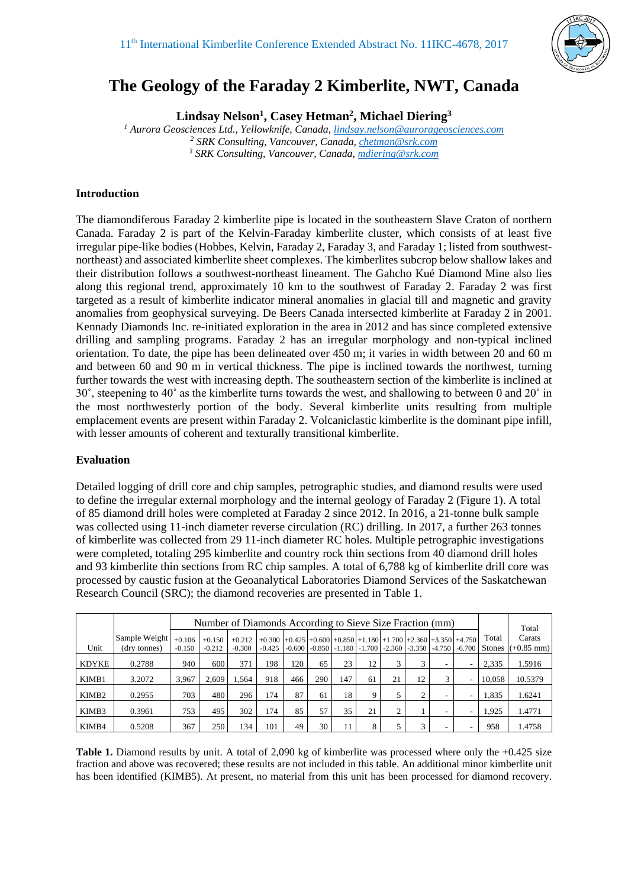

# **The Geology of the Faraday 2 Kimberlite, NWT, Canada**

**Lindsay Nelson<sup>1</sup> , Casey Hetman<sup>2</sup> , Michael Diering<sup>3</sup>**

*<sup>1</sup> Aurora Geosciences Ltd., Yellowknife, Canada, [lindsay.nelson@aurorageosciences.com](mailto:lindsay.nelson@aurorageosciences.com) <sup>2</sup> SRK Consulting, Vancouver, Canada, [chetman@srk.com](mailto:chetman@srk.com) <sup>3</sup> SRK Consulting, Vancouver, Canada, [mdiering@srk.com](mailto:mdiering@srk.com)*

## **Introduction**

The diamondiferous Faraday 2 kimberlite pipe is located in the southeastern Slave Craton of northern Canada. Faraday 2 is part of the Kelvin-Faraday kimberlite cluster, which consists of at least five irregular pipe-like bodies (Hobbes, Kelvin, Faraday 2, Faraday 3, and Faraday 1; listed from southwestnortheast) and associated kimberlite sheet complexes. The kimberlites subcrop below shallow lakes and their distribution follows a southwest-northeast lineament. The Gahcho Kué Diamond Mine also lies along this regional trend, approximately 10 km to the southwest of Faraday 2. Faraday 2 was first targeted as a result of kimberlite indicator mineral anomalies in glacial till and magnetic and gravity anomalies from geophysical surveying. De Beers Canada intersected kimberlite at Faraday 2 in 2001. Kennady Diamonds Inc. re-initiated exploration in the area in 2012 and has since completed extensive drilling and sampling programs. Faraday 2 has an irregular morphology and non-typical inclined orientation. To date, the pipe has been delineated over 450 m; it varies in width between 20 and 60 m and between 60 and 90 m in vertical thickness. The pipe is inclined towards the northwest, turning further towards the west with increasing depth. The southeastern section of the kimberlite is inclined at 30˚, steepening to 40˚ as the kimberlite turns towards the west, and shallowing to between 0 and 20˚ in the most northwesterly portion of the body. Several kimberlite units resulting from multiple emplacement events are present within Faraday 2. Volcaniclastic kimberlite is the dominant pipe infill, with lesser amounts of coherent and texturally transitional kimberlite.

### **Evaluation**

Detailed logging of drill core and chip samples, petrographic studies, and diamond results were used to define the irregular external morphology and the internal geology of Faraday 2 (Figure 1). A total of 85 diamond drill holes were completed at Faraday 2 since 2012. In 2016, a 21-tonne bulk sample was collected using 11-inch diameter reverse circulation (RC) drilling. In 2017, a further 263 tonnes of kimberlite was collected from 29 11-inch diameter RC holes. Multiple petrographic investigations were completed, totaling 295 kimberlite and country rock thin sections from 40 diamond drill holes and 93 kimberlite thin sections from RC chip samples. A total of 6,788 kg of kimberlite drill core was processed by caustic fusion at the Geoanalytical Laboratories Diamond Services of the Saskatchewan Research Council (SRC); the diamond recoveries are presented in Table 1.

|                   |                               | Number of Diamonds According to Sieve Size Fraction (mm) |                      |                      |          |     |                                              |     |    |           |          |                          |                                                                  |                        | Total                  |
|-------------------|-------------------------------|----------------------------------------------------------|----------------------|----------------------|----------|-----|----------------------------------------------|-----|----|-----------|----------|--------------------------|------------------------------------------------------------------|------------------------|------------------------|
| Unit              | Sample Weight<br>(dry tonnes) | $+0.106$<br>$-0.150$                                     | $+0.150$<br>$-0.212$ | $+0.212$<br>$-0.300$ | $-0.425$ |     | $-0.600$ $-0.850$ $-1.180$ $-1.700$ $-2.360$ |     |    |           | $-3.350$ | $-4.750 - 6.700$         | $+0.300$ +0.425 +0.600 +0.850 +1.180 +1.700 +2.360 +3.350 +4.750 | Total<br><b>Stones</b> | Carats<br>$(+0.85$ mm) |
| <b>KDYKE</b>      | 0.2788                        | 940                                                      | 600                  | 371                  | 198      | 120 | 65                                           | 23  | 12 | 3         | 3        | ۰                        |                                                                  | 2,335                  | 1.5916                 |
| KIMB1             | 3.2072                        | 3.967                                                    | 2.609                | 1.564                | 918      | 466 | 290                                          | 147 | 61 | 21        | 12       | 3                        |                                                                  | 10,058                 | 10.5379                |
| KIMB <sub>2</sub> | 0.2955                        | 703                                                      | 480                  | 296                  | 174      | 87  | 61                                           | 18  | -9 |           | C<br>∠   | -                        |                                                                  | 1,835                  | 1.6241                 |
| KIMB3             | 0.3961                        | 753                                                      | 495                  | 302                  | 174      | 85  | 57                                           | 35  | 21 | $\bigcap$ |          | $\overline{\phantom{a}}$ |                                                                  | 1.925                  | 1.4771                 |
| KIMB4             | 0.5208                        | 367                                                      | 250                  | 134                  | 101      | 49  | 30                                           | 11  |    |           | 3        | -                        |                                                                  | 958                    | 1.4758                 |

**Table 1.** Diamond results by unit. A total of 2,090 kg of kimberlite was processed where only the +0.425 size fraction and above was recovered; these results are not included in this table. An additional minor kimberlite unit has been identified (KIMB5). At present, no material from this unit has been processed for diamond recovery.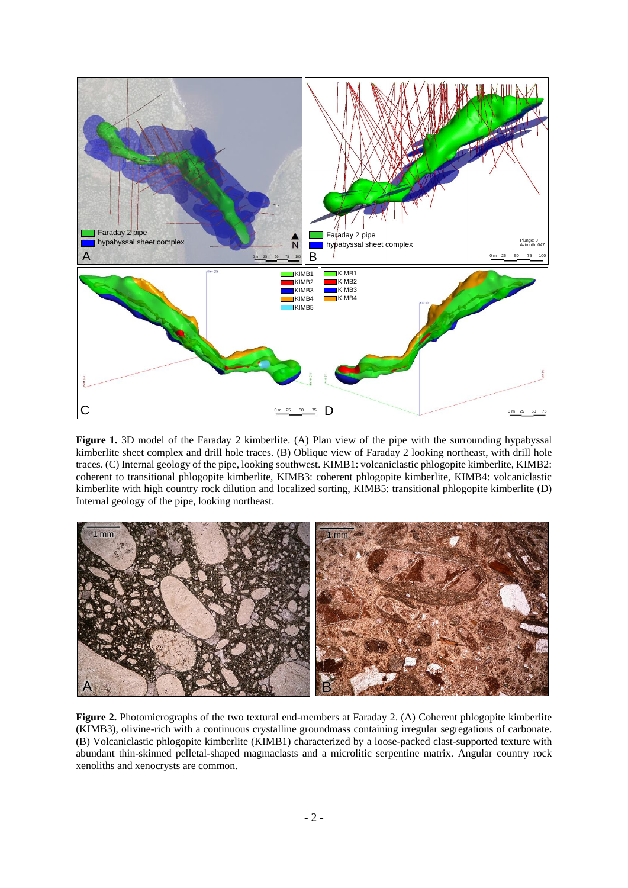

**Figure 1.** 3D model of the Faraday 2 kimberlite. (A) Plan view of the pipe with the surrounding hypabyssal kimberlite sheet complex and drill hole traces. (B) Oblique view of Faraday 2 looking northeast, with drill hole traces. (C) Internal geology of the pipe, looking southwest. KIMB1: volcaniclastic phlogopite kimberlite, KIMB2: coherent to transitional phlogopite kimberlite, KIMB3: coherent phlogopite kimberlite, KIMB4: volcaniclastic kimberlite with high country rock dilution and localized sorting, KIMB5: transitional phlogopite kimberlite (D) Internal geology of the pipe, looking northeast.



**Figure 2.** Photomicrographs of the two textural end-members at Faraday 2. (A) Coherent phlogopite kimberlite (KIMB3), olivine-rich with a continuous crystalline groundmass containing irregular segregations of carbonate. (B) Volcaniclastic phlogopite kimberlite (KIMB1) characterized by a loose-packed clast-supported texture with abundant thin-skinned pelletal-shaped magmaclasts and a microlitic serpentine matrix. Angular country rock xenoliths and xenocrysts are common.